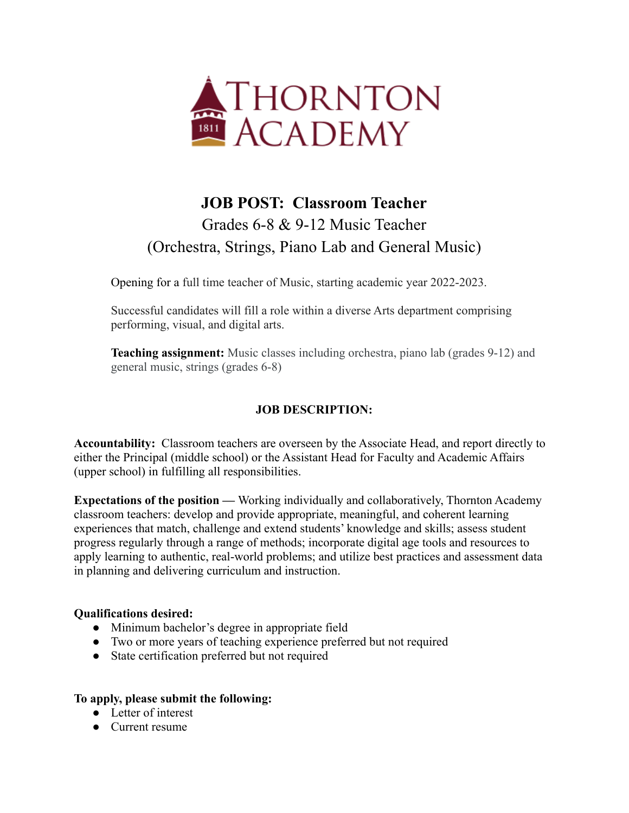

## **JOB POST: Classroom Teacher** Grades 6-8 & 9-12 Music Teacher (Orchestra, Strings, Piano Lab and General Music)

Opening for a full time teacher of Music, starting academic year 2022-2023.

Successful candidates will fill a role within a diverse Arts department comprising performing, visual, and digital arts.

**Teaching assignment:** Music classes including orchestra, piano lab (grades 9-12) and general music, strings (grades 6-8)

## **JOB DESCRIPTION:**

**Accountability:** Classroom teachers are overseen by the Associate Head, and report directly to either the Principal (middle school) or the Assistant Head for Faculty and Academic Affairs (upper school) in fulfilling all responsibilities.

**Expectations of the position —** Working individually and collaboratively, Thornton Academy classroom teachers: develop and provide appropriate, meaningful, and coherent learning experiences that match, challenge and extend students' knowledge and skills; assess student progress regularly through a range of methods; incorporate digital age tools and resources to apply learning to authentic, real-world problems; and utilize best practices and assessment data in planning and delivering curriculum and instruction.

## **Qualifications desired:**

- Minimum bachelor's degree in appropriate field
- Two or more years of teaching experience preferred but not required
- State certification preferred but not required

## **To apply, please submit the following:**

- Letter of interest
- Current resume